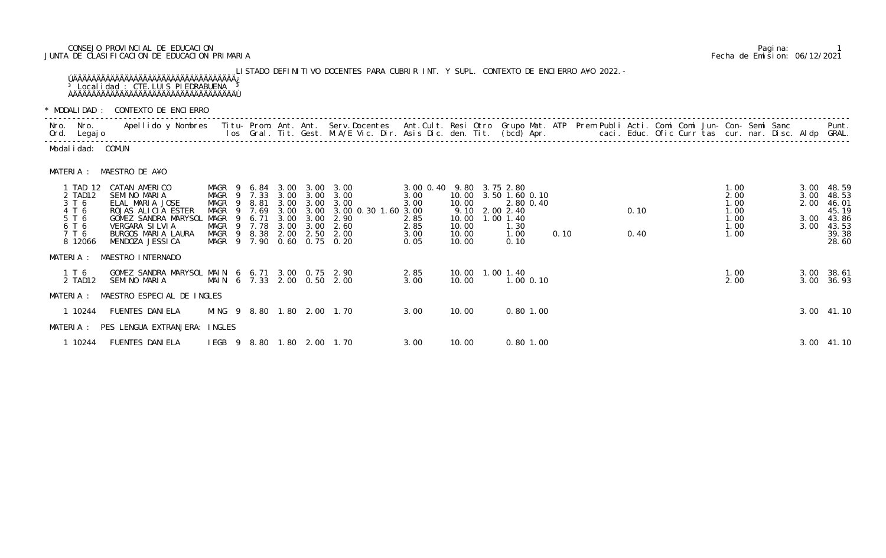## CONSEJO PROVINCIAL DE EDUCACION Pagina: 1 JUNTA DE CLASIFICACION DE EDUCACION PRIMARIA Fecha de Emision: 06/12/2021

## LISTADO DEFINITIVO DOCENTES PARA CUBRIR INT. Y SUPL. CONTEXTO DE ENCIERRO A¥O 2022.- ÚÄÄÄÄÄÄÄÄÄÄÄÄÄÄÄÄÄÄÄÄÄÄÄÄÄÄÄÄÄÄÄÄÄÄÄ¿ <sup>3</sup> Localidad : CTE. LUIS PIEDRABUENA <sup>3</sup> ÀÄÄÄÄÄÄÄÄÄÄÄÄÄÄÄÄÄÄÄÄÄÄÄÄÄÄÄÄÄÄÄÄÄÄÄÙ

\* MODALIDAD : CONTEXTO DE ENCIERRO

|           |                                                                             | * MODALIDAD : CONTEXTO DE ENCLERRO                                                                                                                                                                                             |                                                                                                                             |                              |                                      |                              |                                                                                                   |                                                                          |                                           |                                                                             |               |      |  |                                                      |  |                                                      |  |                              |                                                                           |
|-----------|-----------------------------------------------------------------------------|--------------------------------------------------------------------------------------------------------------------------------------------------------------------------------------------------------------------------------|-----------------------------------------------------------------------------------------------------------------------------|------------------------------|--------------------------------------|------------------------------|---------------------------------------------------------------------------------------------------|--------------------------------------------------------------------------|-------------------------------------------|-----------------------------------------------------------------------------|---------------|------|--|------------------------------------------------------|--|------------------------------------------------------|--|------------------------------|---------------------------------------------------------------------------|
|           | Nro. Nro.<br>Ord. Legajo                                                    | Apellido y Nombres - Titu- Prom. Ant. Ant. Serv.Docentes - Ant.Cult. Resi Otro Grupo Mat. ATP - Prem Publi Acti. Comi Comi Jun- Con- Semi Sanc - Sanc - Semi Sanc - Semi Sanc - Semi Sanc - Semi Sanc - Semi Sanc - Ios - Gral |                                                                                                                             |                              |                                      |                              |                                                                                                   |                                                                          |                                           |                                                                             |               |      |  | caci. Educ. Ofic Curr tas cur. nar. Disc. Aldp GRAL. |  |                                                      |  |                              | Punt.                                                                     |
|           | Modal i dad: COMUN                                                          |                                                                                                                                                                                                                                |                                                                                                                             |                              |                                      |                              |                                                                                                   |                                                                          |                                           |                                                                             |               |      |  |                                                      |  |                                                      |  |                              |                                                                           |
|           |                                                                             | MATERIA : MAESTRO DE A¥O                                                                                                                                                                                                       |                                                                                                                             |                              |                                      |                              |                                                                                                   |                                                                          |                                           |                                                                             |               |      |  |                                                      |  |                                                      |  |                              |                                                                           |
|           | 1 TAD 12<br>2 TAD12<br>3 T 6<br>4 T 6<br>5 T 6<br>6 T 6<br>7 T 6<br>8 12066 | CATAN AMERICO<br>SEMINO MARIA<br>ELAL MARIA JOSE<br>ROJAS ALICIA ESTER<br>GOMEZ SANDRA MARYSOL<br>VERGARA SILVIA<br>BURGOS MARIA LAURA<br>MENDOZA JESSICA                                                                      | MAGR 9<br>MAGR 9 7.33<br>MAGR<br>- 9<br>MAGR<br>$\overline{9}$<br>MAGR<br>MAGR<br>MAGR 9 8.38<br>MAGR 9 7.90 0.60 0.75 0.20 | 8.81<br>7.69<br>6.71<br>7.78 | 3.00<br>3.00<br>3.00<br>3.00<br>2.00 | 3.00<br>3.00<br>3.00<br>3.00 | 6.84 3.00 3.00 3.00<br>3.00 3.00 3.00<br>3.00<br>3.00 0.30 1.60 3.00<br>2.90<br>2.60<br>2.50 2.00 | 3.00 0.40 9.80 3.75 2.80<br>3.00<br>3.00<br>2.85<br>2.85<br>3.00<br>0.05 | 10.00<br>10.00<br>10.00<br>10.00<br>10.00 | 10.00 3.50 1.60 0.10<br>9.10 2.00 2.40<br>1.00 1.40<br>1.30<br>1.00<br>0.10 | 2.80 0.40     | 0.10 |  | 0.10<br>0.40                                         |  | 1.00<br>2.00<br>1.00<br>1.00<br>1.00<br>1.00<br>1.00 |  | 3.00<br>2.00<br>3.00<br>3.00 | 3.00 48.59<br>48.53<br>46.01<br>45.19<br>43.86<br>43.53<br>39.38<br>28.60 |
| MATERIA : |                                                                             | MAESTRO INTERNADO                                                                                                                                                                                                              |                                                                                                                             |                              |                                      |                              |                                                                                                   |                                                                          |                                           |                                                                             |               |      |  |                                                      |  |                                                      |  |                              |                                                                           |
|           | 1 T 6<br>2 TAD12                                                            | GOMEZ SANDRA MARYSOL MAIN 6 6.71 3.00 0.75 2.90<br>SEMINO MARIA                                                                                                                                                                | MAIN 6 7.33 2.00 0.50 2.00                                                                                                  |                              |                                      |                              |                                                                                                   | 2.85<br>3.00                                                             | 10.00                                     | 10.00  1.00  1.40                                                           | $1.00$ $0.10$ |      |  |                                                      |  | 1.00<br>2.00                                         |  | 3.00                         | 3.00 38.61<br>36.93                                                       |
| MATERIA : |                                                                             | MAESTRO ESPECIAL DE INGLES                                                                                                                                                                                                     |                                                                                                                             |                              |                                      |                              |                                                                                                   |                                                                          |                                           |                                                                             |               |      |  |                                                      |  |                                                      |  |                              |                                                                           |
|           | 1 10244                                                                     | <b>FUENTES DANIELA</b><br>MATERIA : PES LENGUA EXTRANJERA: INGLES                                                                                                                                                              | MING 9 8.80 1.80 2.00 1.70                                                                                                  |                              |                                      |                              |                                                                                                   | 3.00                                                                     | 10.00                                     |                                                                             | $0.80$ 1.00   |      |  |                                                      |  |                                                      |  |                              | 3.00 41.10                                                                |
|           | 1 10244                                                                     | <b>FUENTES DANI ELA</b>                                                                                                                                                                                                        | IEGB 9 8.80 1.80 2.00 1.70                                                                                                  |                              |                                      |                              |                                                                                                   | 3.00                                                                     | 10.00                                     |                                                                             | $0.80$ 1.00   |      |  |                                                      |  |                                                      |  |                              | 3.00 41.10                                                                |

|                                                                             | MODALIDAD: CONTEXTO DE ENCIERRO                                                                                                                                |                            |                                                                      |    |                                             |                      |                                                                                                   |                                      |                               |                                                                                                                                 |                                           |                             |                                                           |      |  |              |  |                                                      |  |                              |                                                                           |
|-----------------------------------------------------------------------------|----------------------------------------------------------------------------------------------------------------------------------------------------------------|----------------------------|----------------------------------------------------------------------|----|---------------------------------------------|----------------------|---------------------------------------------------------------------------------------------------|--------------------------------------|-------------------------------|---------------------------------------------------------------------------------------------------------------------------------|-------------------------------------------|-----------------------------|-----------------------------------------------------------|------|--|--------------|--|------------------------------------------------------|--|------------------------------|---------------------------------------------------------------------------|
| lro. Nro.<br>)rd. Legaj o                                                   | Apellido y Nombres - Titu- Prom. Ant. Ant. Serv.Docentes - Ant.Cult. Resi Otro -Grupo Mat. ATP - Prem Publi Acti. Comi Comi Jun- Con- Semi Sanc                |                            |                                                                      |    |                                             |                      |                                                                                                   |                                      |                               | los Gral. Tit. Gest. M.A/E Vic. Dir. Asis Dic. den. Tit. (bcd) Apr.        caci. Educ. Ofic Curr tas cur. nar. Disc. Aldp GRAL. |                                           |                             |                                                           |      |  |              |  |                                                      |  |                              | Punt.                                                                     |
| Modalidad: COMUN                                                            |                                                                                                                                                                |                            |                                                                      |    |                                             |                      |                                                                                                   |                                      |                               |                                                                                                                                 |                                           |                             |                                                           |      |  |              |  |                                                      |  |                              |                                                                           |
|                                                                             | MATERIA : MAESTRO DE A¥O                                                                                                                                       |                            |                                                                      |    |                                             |                      |                                                                                                   |                                      |                               |                                                                                                                                 |                                           |                             |                                                           |      |  |              |  |                                                      |  |                              |                                                                           |
| 1 TAD 12<br>2 TAD12<br>3 T 6<br>4 T 6<br>5 T 6<br>6 T 6<br>7 T 6<br>8 12066 | CATAN AMERICO<br>SEMINO MARIA<br>ELAL MARIA JOSE<br>ROJAS ALICIA ESTER<br>GOMEZ SANDRA MARYSOL MAGR<br>VERGARA SILVIA<br>BURGOS MARIA LAURA<br>MENDOZA JESSICA |                            | MAGR 9<br>MAGR 9 7.33<br>MAGR<br>MAGR<br>MAGR<br>MAGR 9 8.38<br>MAGR | -9 | 6. 84<br>9 8.81<br>9 7.69<br>6.71<br>9 7.78 | 3.00<br>3.00<br>3.00 | 3.00 3.00 3.00<br>$3.00 \quad 3.00$<br>3.00<br>3.00<br>3.00<br>2.00 2.50<br>9 7.90 0.60 0.75 0.20 | 3.00<br>3.00<br>2.90<br>2.60<br>2.00 | 3.00 3.00 3.00 0.30 1.60 3.00 | 3.00 0.40 9.80 3.75 2.80<br>3.00<br>3.00<br>2.85<br>2.85<br>3.00<br>0.05                                                        | 10.00<br>10.00<br>10.00<br>10.00<br>10.00 | 9.10 2.00 2.40<br>1.00 1.40 | 10.00 3.50 1.60 0.10<br>2.80 0.40<br>1.30<br>1.00<br>0.10 | 0.10 |  | 0.10<br>0.40 |  | 1.00<br>2.00<br>1.00<br>1.00<br>1.00<br>1.00<br>1.00 |  | 3.00<br>2.00<br>3.00<br>3.00 | 3.00 48.59<br>48.53<br>46.01<br>45.19<br>43.86<br>43.53<br>39.38<br>28.60 |
| AATERIA :                                                                   | MAESTRO INTERNADO                                                                                                                                              |                            |                                                                      |    |                                             |                      |                                                                                                   |                                      |                               |                                                                                                                                 |                                           |                             |                                                           |      |  |              |  |                                                      |  |                              |                                                                           |
| 1 T 6<br>2 TAD12                                                            | GOMEZ SANDRA MARYSOL MAIN 6 6.71 3.00 0.75 2.90<br>SEMINO MARIA                                                                                                | MAIN 6 7.33 2.00 0.50 2.00 |                                                                      |    |                                             |                      |                                                                                                   |                                      |                               | 2.85<br>3.00                                                                                                                    | 10.00                                     | 10.00  1.00  1.40           | $1.00 \t0.10$                                             |      |  |              |  | 1.00<br>2.00                                         |  |                              | 3.00 38.61<br>3.00 36.93                                                  |
|                                                                             | MATERIA : MAESTRO ESPECIAL DE INGLES                                                                                                                           |                            |                                                                      |    |                                             |                      |                                                                                                   |                                      |                               |                                                                                                                                 |                                           |                             |                                                           |      |  |              |  |                                                      |  |                              |                                                                           |
| 1 10244                                                                     | FUENTES DANI ELA                                                                                                                                               |                            |                                                                      |    |                                             |                      | MING 9 8.80 1.80 2.00 1.70                                                                        |                                      |                               | 3.00                                                                                                                            | 10.00                                     |                             | $0.80$ 1.00                                               |      |  |              |  |                                                      |  |                              | 3.00 41.10                                                                |
|                                                                             | MATERIA : PES LENGUA EXTRANJERA: INGLES                                                                                                                        |                            |                                                                      |    |                                             |                      |                                                                                                   |                                      |                               |                                                                                                                                 |                                           |                             |                                                           |      |  |              |  |                                                      |  |                              |                                                                           |
| 1 10244                                                                     | <b>FUENTES DANIELA</b>                                                                                                                                         |                            |                                                                      |    |                                             |                      | IEGB 9 8.80 1.80 2.00 1.70                                                                        |                                      |                               | 3.00                                                                                                                            | 10.00                                     |                             | $0.80$ 1.00                                               |      |  |              |  |                                                      |  |                              | 3.00 41.10                                                                |
|                                                                             |                                                                                                                                                                |                            |                                                                      |    |                                             |                      |                                                                                                   |                                      |                               |                                                                                                                                 |                                           |                             |                                                           |      |  |              |  |                                                      |  |                              |                                                                           |